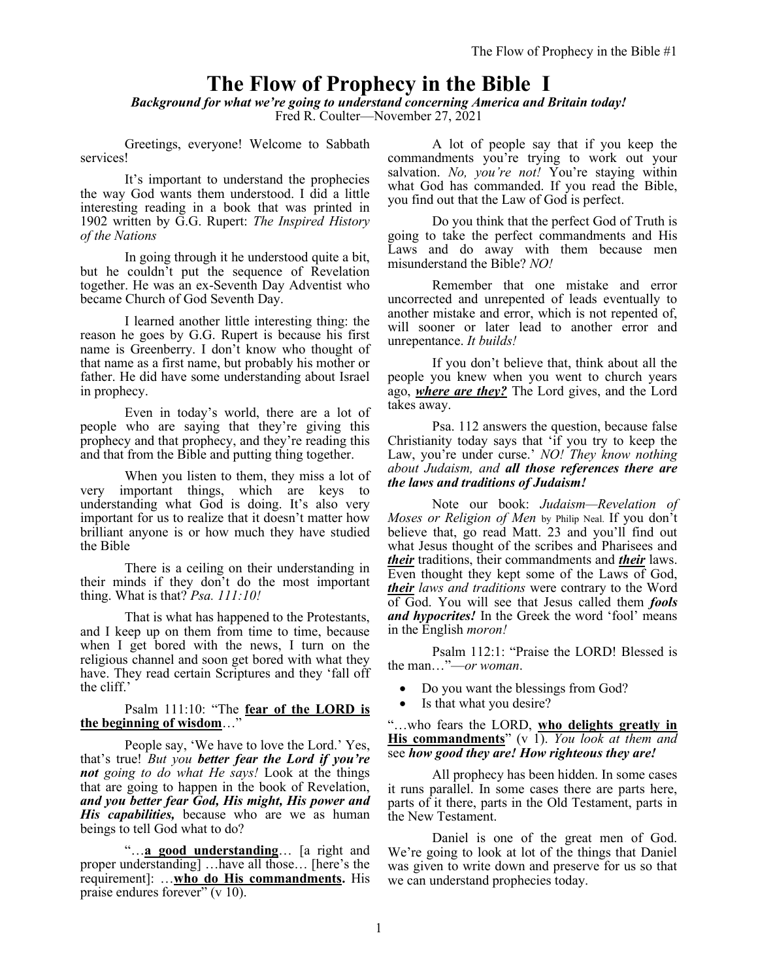# **The Flow of Prophecy in the Bible I**

*Background for what we're going to understand concerning America and Britain today!* Fred R. Coulter—November 27, 2021

Greetings, everyone! Welcome to Sabbath services!

It's important to understand the prophecies the way God wants them understood. I did a little interesting reading in a book that was printed in 1902 written by G.G. Rupert: *The Inspired History of the Nations*

In going through it he understood quite a bit, but he couldn't put the sequence of Revelation together. He was an ex-Seventh Day Adventist who became Church of God Seventh Day.

I learned another little interesting thing: the reason he goes by G.G. Rupert is because his first name is Greenberry. I don't know who thought of that name as a first name, but probably his mother or father. He did have some understanding about Israel in prophecy.

Even in today's world, there are a lot of people who are saying that they're giving this prophecy and that prophecy, and they're reading this and that from the Bible and putting thing together.

When you listen to them, they miss a lot of very important things, which are keys to understanding what God is doing. It's also very important for us to realize that it doesn't matter how brilliant anyone is or how much they have studied the Bible

There is a ceiling on their understanding in their minds if they don't do the most important thing. What is that? *Psa. 111:10!*

That is what has happened to the Protestants, and I keep up on them from time to time, because when I get bored with the news, I turn on the religious channel and soon get bored with what they have. They read certain Scriptures and they 'fall off the cliff.'

#### Psalm 111:10: "The **fear of the LORD is the beginning of wisdom**…"

People say, 'We have to love the Lord.' Yes, that's true! *But you better fear the Lord if you're not going to do what He says!* Look at the things that are going to happen in the book of Revelation, *and you better fear God, His might, His power and His capabilities,* because who are we as human beings to tell God what to do?

"…**a good understanding**… [a right and proper understanding] …have all those… [here's the requirement]: …**who do His commandments.** His praise endures forever" (v 10).

A lot of people say that if you keep the commandments you're trying to work out your salvation. *No, you're not!* You're staying within what God has commanded. If you read the Bible, you find out that the Law of God is perfect.

Do you think that the perfect God of Truth is going to take the perfect commandments and His Laws and do away with them because men misunderstand the Bible? *NO!*

Remember that one mistake and error uncorrected and unrepented of leads eventually to another mistake and error, which is not repented of, will sooner or later lead to another error and unrepentance. *It builds!*

If you don't believe that, think about all the people you knew when you went to church years ago, *where are they?* The Lord gives, and the Lord takes away.

Psa. 112 answers the question, because false Christianity today says that 'if you try to keep the Law, you're under curse.' *NO! They know nothing about Judaism, and all those references there are the laws and traditions of Judaism!*

Note our book: *Judaism—Revelation of Moses or Religion of Men* by Philip Neal. If you don't believe that, go read Matt. 23 and you'll find out what Jesus thought of the scribes and Pharisees and *their* traditions, their commandments and *their* laws. Even thought they kept some of the Laws of God, *their laws and traditions* were contrary to the Word of God. You will see that Jesus called them *fools and hypocrites!* In the Greek the word 'fool' means in the English *moron!*

Psalm 112:1: "Praise the LORD! Blessed is the man…"—*or woman*.

- Do you want the blessings from God?
- Is that what you desire?

"…who fears the LORD, **who delights greatly in His commandments**" (v 1). *You look at them and* see *how good they are! How righteous they are!*

All prophecy has been hidden. In some cases it runs parallel. In some cases there are parts here, parts of it there, parts in the Old Testament, parts in the New Testament.

Daniel is one of the great men of God. We're going to look at lot of the things that Daniel was given to write down and preserve for us so that we can understand prophecies today.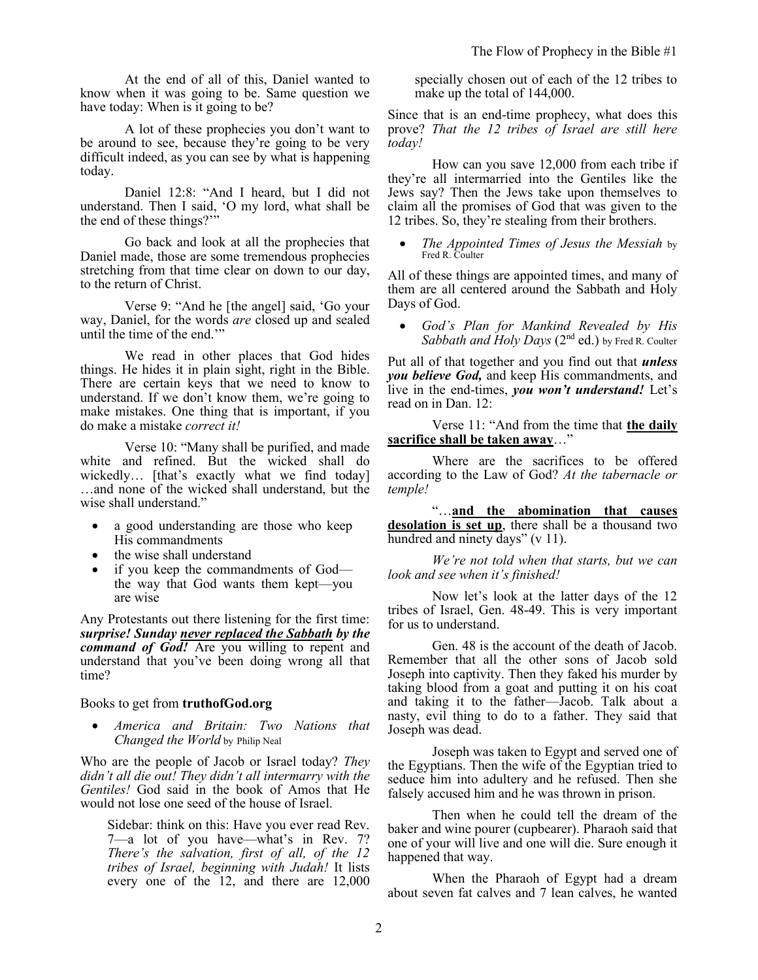At the end of all of this, Daniel wanted to know when it was going to be. Same question we have today: When is it going to be?

A lot of these prophecies you don't want to be around to see, because they're going to be very difficult indeed, as you can see by what is happening today.

Daniel 12:8: "And I heard, but I did not understand. Then I said, 'O my lord, what shall be the end of these things?'"

Go back and look at all the prophecies that Daniel made, those are some tremendous prophecies stretching from that time clear on down to our day, to the return of Christ.

Verse 9: "And he [the angel] said, 'Go your way, Daniel, for the words *are* closed up and sealed until the time of the end.'"

We read in other places that God hides things. He hides it in plain sight, right in the Bible. There are certain keys that we need to know to understand. If we don't know them, we're going to make mistakes. One thing that is important, if you do make a mistake *correct it!*

Verse 10: "Many shall be purified, and made white and refined. But the wicked shall do wickedly… [that's exactly what we find today] …and none of the wicked shall understand, but the wise shall understand."

- a good understanding are those who keep His commandments
- the wise shall understand
- if you keep the commandments of God the way that God wants them kept—you are wise

Any Protestants out there listening for the first time: *surprise! Sunday never replaced the Sabbath by the command of God!* Are you willing to repent and understand that you've been doing wrong all that time?

### Books to get from **truthofGod.org**

• *America and Britain: Two Nations that Changed the World* by Philip Neal

Who are the people of Jacob or Israel today? *They didn't all die out! They didn't all intermarry with the Gentiles!* God said in the book of Amos that He would not lose one seed of the house of Israel.

Sidebar: think on this: Have you ever read Rev. 7—a lot of you have—what's in Rev. 7? *There's the salvation, first of all, of the 12 tribes of Israel, beginning with Judah!* It lists every one of the 12, and there are 12,000 specially chosen out of each of the 12 tribes to make up the total of 144,000.

Since that is an end-time prophecy, what does this prove? *That the 12 tribes of Israel are still here today!*

How can you save 12,000 from each tribe if they're all intermarried into the Gentiles like the Jews say? Then the Jews take upon themselves to claim all the promises of God that was given to the 12 tribes. So, they're stealing from their brothers.

• *The Appointed Times of Jesus the Messiah* by Fred R. Coulter

All of these things are appointed times, and many of them are all centered around the Sabbath and Holy Days of God.

• *God's Plan for Mankind Revealed by His*  Sabbath and Holy Days (2<sup>nd</sup> ed.) by Fred R. Coulter

Put all of that together and you find out that *unless you believe God,* and keep His commandments, and live in the end-times, *you won't understand!* Let's read on in Dan. 12:

Verse 11: "And from the time that **the daily sacrifice shall be taken away**…"

Where are the sacrifices to be offered according to the Law of God? *At the tabernacle or temple!*

"…**and the abomination that causes desolation is set up**, there shall be a thousand two hundred and ninety days" (v 11).

*We're not told when that starts, but we can look and see when it's finished!*

Now let's look at the latter days of the 12 tribes of Israel, Gen. 48-49. This is very important for us to understand.

Gen. 48 is the account of the death of Jacob. Remember that all the other sons of Jacob sold Joseph into captivity. Then they faked his murder by taking blood from a goat and putting it on his coat and taking it to the father—Jacob. Talk about a nasty, evil thing to do to a father. They said that Joseph was dead.

Joseph was taken to Egypt and served one of the Egyptians. Then the wife of the Egyptian tried to seduce him into adultery and he refused. Then she falsely accused him and he was thrown in prison.

Then when he could tell the dream of the baker and wine pourer (cupbearer). Pharaoh said that one of your will live and one will die. Sure enough it happened that way.

When the Pharaoh of Egypt had a dream about seven fat calves and 7 lean calves, he wanted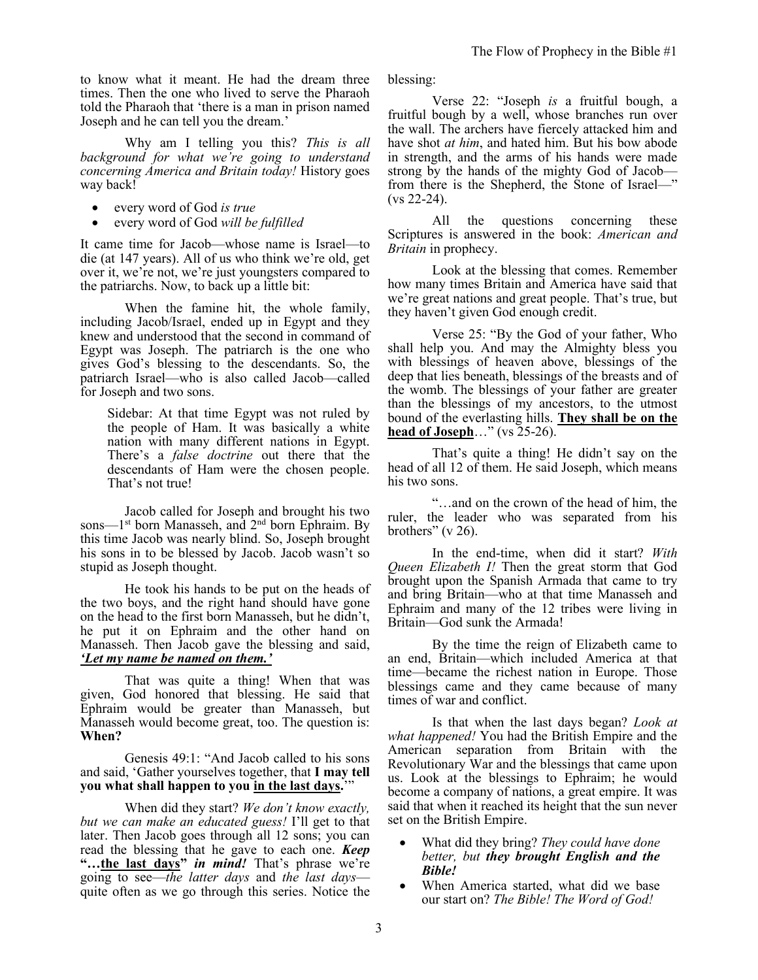to know what it meant. He had the dream three times. Then the one who lived to serve the Pharaoh told the Pharaoh that 'there is a man in prison named Joseph and he can tell you the dream.'

Why am I telling you this? *This is all background for what we're going to understand concerning America and Britain today!* History goes way back!

- every word of God *is true*
- every word of God *will be fulfilled*

It came time for Jacob—whose name is Israel—to die (at 147 years). All of us who think we're old, get over it, we're not, we're just youngsters compared to the patriarchs. Now, to back up a little bit:

When the famine hit, the whole family, including Jacob/Israel, ended up in Egypt and they knew and understood that the second in command of Egypt was Joseph. The patriarch is the one who gives God's blessing to the descendants. So, the patriarch Israel—who is also called Jacob—called for Joseph and two sons.

Sidebar: At that time Egypt was not ruled by the people of Ham. It was basically a white nation with many different nations in Egypt. There's a *false doctrine* out there that the descendants of Ham were the chosen people. That's not true!

Jacob called for Joseph and brought his two sons—1<sup>st</sup> born Manasseh, and 2<sup>nd</sup> born Ephraim. By this time Jacob was nearly blind. So, Joseph brought his sons in to be blessed by Jacob. Jacob wasn't so stupid as Joseph thought.

He took his hands to be put on the heads of the two boys, and the right hand should have gone on the head to the first born Manasseh, but he didn't, he put it on Ephraim and the other hand on Manasseh. Then Jacob gave the blessing and said, *'Let my name be named on them.'*

That was quite a thing! When that was given, God honored that blessing. He said that Ephraim would be greater than Manasseh, but Manasseh would become great, too. The question is: **When?** 

Genesis 49:1: "And Jacob called to his sons and said, 'Gather yourselves together, that **I may tell you what shall happen to you in the last days.**'"

When did they start? *We don't know exactly, but we can make an educated guess!* I'll get to that later. Then Jacob goes through all 12 sons; you can read the blessing that he gave to each one. *Keep* **"…the last days"** *in mind!* That's phrase we're going to see—*the latter days* and *the last days* quite often as we go through this series. Notice the blessing:

Verse 22: "Joseph *is* a fruitful bough, a fruitful bough by a well, whose branches run over the wall. The archers have fiercely attacked him and have shot *at him*, and hated him. But his bow abode in strength, and the arms of his hands were made strong by the hands of the mighty God of Jacob from there is the Shepherd, the Stone of Israel—" (vs 22-24).

All the questions concerning these Scriptures is answered in the book: *American and Britain* in prophecy.

Look at the blessing that comes. Remember how many times Britain and America have said that we're great nations and great people. That's true, but they haven't given God enough credit.

Verse 25: "By the God of your father, Who shall help you. And may the Almighty bless you with blessings of heaven above, blessings of the deep that lies beneath, blessings of the breasts and of the womb. The blessings of your father are greater than the blessings of my ancestors, to the utmost bound of the everlasting hills. **They shall be on the head of Joseph**…" (vs 25-26).

That's quite a thing! He didn't say on the head of all 12 of them. He said Joseph, which means his two sons.

"…and on the crown of the head of him, the ruler, the leader who was separated from his brothers" (v 26).

In the end-time, when did it start? *With Queen Elizabeth I!* Then the great storm that God brought upon the Spanish Armada that came to try and bring Britain—who at that time Manasseh and Ephraim and many of the 12 tribes were living in Britain—God sunk the Armada!

By the time the reign of Elizabeth came to an end, Britain—which included America at that time—became the richest nation in Europe. Those blessings came and they came because of many times of war and conflict.

Is that when the last days began? *Look at what happened!* You had the British Empire and the American separation from Britain with the Revolutionary War and the blessings that came upon us. Look at the blessings to Ephraim; he would become a company of nations, a great empire. It was said that when it reached its height that the sun never set on the British Empire.

- What did they bring? *They could have done better, but they brought English and the Bible!*
- When America started, what did we base our start on? *The Bible! The Word of God!*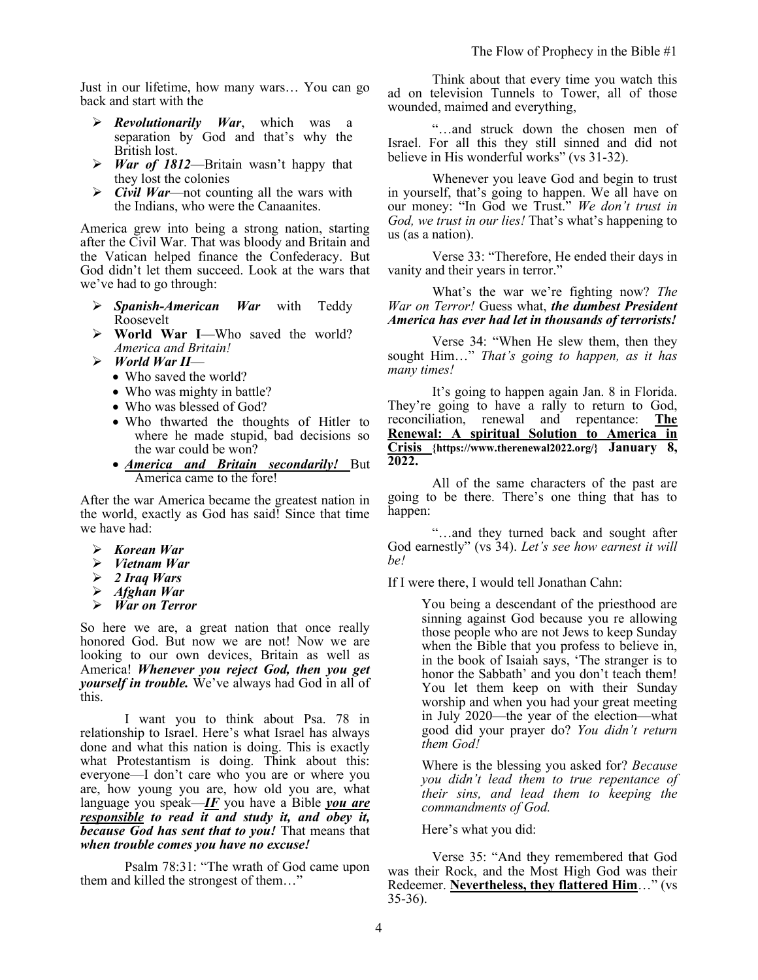Just in our lifetime, how many wars… You can go back and start with the

- ➢ *Revolutionarily War*, which was a separation by God and that's why the British lost.
- ➢ *War of 1812*—Britain wasn't happy that they lost the colonies
- ➢ *Civil War*—not counting all the wars with the Indians, who were the Canaanites.

America grew into being a strong nation, starting after the Civil War. That was bloody and Britain and the Vatican helped finance the Confederacy. But God didn't let them succeed. Look at the wars that we've had to go through:

- ➢ *Spanish-American War* with Teddy Roosevelt
- ➢ **World War I**—Who saved the world? *America and Britain!*
- ➢ *World War II*
	- Who saved the world?
	- Who was mighty in battle?
	- Who was blessed of God?
	- Who thwarted the thoughts of Hitler to where he made stupid, bad decisions so the war could be won?
	- *America and Britain secondarily!* But America came to the fore!

After the war America became the greatest nation in the world, exactly as God has said! Since that time we have had:

- ➢ *Korean War*
- ➢ *Vietnam War*
- ➢ *2 Iraq Wars*
- ➢ *Afghan War*
- ➢ *War on Terror*

So here we are, a great nation that once really honored God. But now we are not! Now we are looking to our own devices, Britain as well as America! *Whenever you reject God, then you get yourself in trouble.* We've always had God in all of this.

I want you to think about Psa. 78 in relationship to Israel. Here's what Israel has always done and what this nation is doing. This is exactly what Protestantism is doing. Think about this: everyone—I don't care who you are or where you are, how young you are, how old you are, what language you speak—*IF* you have a Bible *you are responsible to read it and study it, and obey it, because God has sent that to you!* That means that *when trouble comes you have no excuse!*

Psalm 78:31: "The wrath of God came upon them and killed the strongest of them…"

Think about that every time you watch this ad on television Tunnels to Tower, all of those wounded, maimed and everything,

"…and struck down the chosen men of Israel. For all this they still sinned and did not believe in His wonderful works" (vs 31-32).

Whenever you leave God and begin to trust in yourself, that's going to happen. We all have on our money: "In God we Trust." *We don't trust in God, we trust in our lies!* That's what's happening to us (as a nation).

Verse 33: "Therefore, He ended their days in vanity and their years in terror."

What's the war we're fighting now? *The War on Terror!* Guess what, *the dumbest President America has ever had let in thousands of terrorists!*

Verse 34: "When He slew them, then they sought Him…" *That's going to happen, as it has many times!* 

It's going to happen again Jan. 8 in Florida. They're going to have a rally to return to God, reconciliation, renewal and repentance: **The Renewal: A spiritual Solution to America in Crisis {https://www.therenewal2022.org/} January 8, 2022.**

All of the same characters of the past are going to be there. There's one thing that has to happen:

"…and they turned back and sought after God earnestly" (vs 34). *Let's see how earnest it will be!* 

If I were there, I would tell Jonathan Cahn:

You being a descendant of the priesthood are sinning against God because you re allowing those people who are not Jews to keep Sunday when the Bible that you profess to believe in, in the book of Isaiah says, 'The stranger is to honor the Sabbath' and you don't teach them! You let them keep on with their Sunday worship and when you had your great meeting in July 2020—the year of the election—what good did your prayer do? *You didn't return them God!*

Where is the blessing you asked for? *Because you didn't lead them to true repentance of their sins, and lead them to keeping the commandments of God.* 

Here's what you did:

Verse 35: "And they remembered that God was their Rock, and the Most High God was their Redeemer. **Nevertheless, they flattered Him**…" (vs 35-36).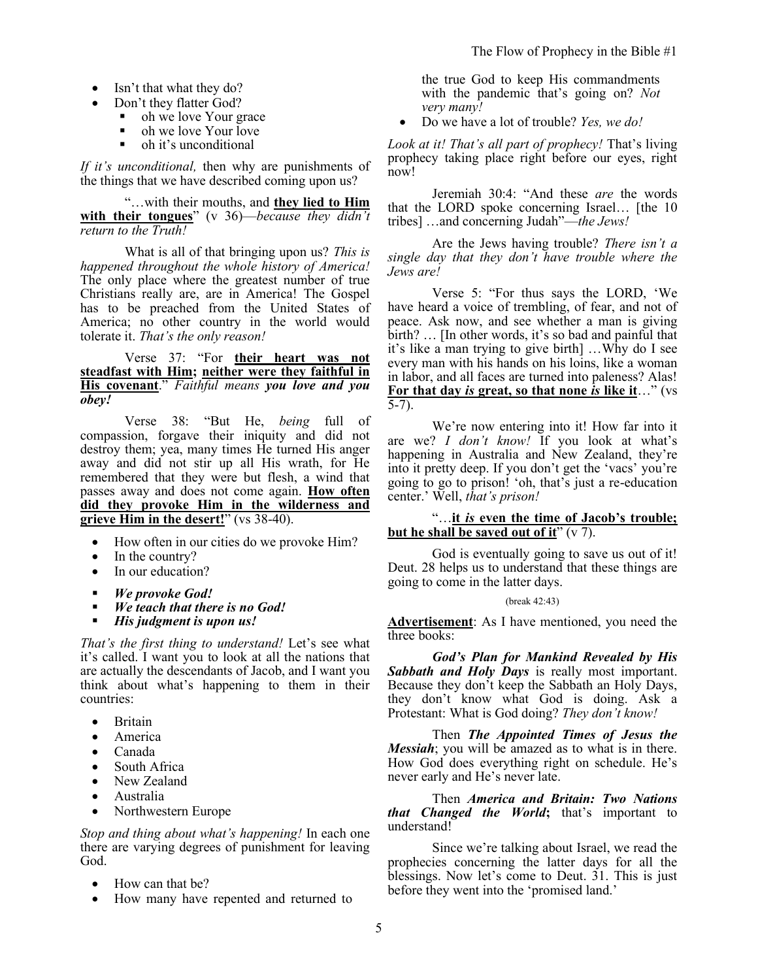- Isn't that what they do?
- Don't they flatter God?
	- oh we love Your grace
	- $\bullet$  oh we love Your love
	- oh it's unconditional

*If it's unconditional,* then why are punishments of the things that we have described coming upon us?

"…with their mouths, and **they lied to Him with their tongues**" (v 36)—*because they didn't return to the Truth!*

What is all of that bringing upon us? *This is happened throughout the whole history of America!*  The only place where the greatest number of true Christians really are, are in America! The Gospel has to be preached from the United States of America; no other country in the world would tolerate it. *That's the only reason!* 

Verse 37: "For **their heart was not steadfast with Him; neither were they faithful in His covenant**." *Faithful means you love and you obey!*

Verse 38: "But He, *being* full of compassion, forgave their iniquity and did not destroy them; yea, many times He turned His anger away and did not stir up all His wrath, for He remembered that they were but flesh, a wind that passes away and does not come again. **How often did they provoke Him in the wilderness and grieve Him in the desert!**" (vs 38-40).

- How often in our cities do we provoke Him?
- In the country?
- In our education?
- *We provoke God!*
- *We teach that there is no God!*<br>■ *His judoment is unon us!*
- *His judgment is upon us!*

*That's the first thing to understand!* Let's see what it's called. I want you to look at all the nations that are actually the descendants of Jacob, and I want you think about what's happening to them in their countries:

- Britain
- America
- Canada
- South Africa
- New Zealand
- Australia
- Northwestern Europe

*Stop and thing about what's happening!* In each one there are varying degrees of punishment for leaving God.

- How can that be?
- How many have repented and returned to

the true God to keep His commandments with the pandemic that's going on? *Not very many!*

• Do we have a lot of trouble? *Yes, we do!* 

*Look at it! That's all part of prophecy!* That's living prophecy taking place right before our eyes, right now!

Jeremiah 30:4: "And these *are* the words that the LORD spoke concerning Israel… [the 10 tribes] …and concerning Judah"—*the Jews!*

Are the Jews having trouble? *There isn't a single day that they don't have trouble where the Jews are!*

Verse 5: "For thus says the LORD, 'We have heard a voice of trembling, of fear, and not of peace. Ask now, and see whether a man is giving birth? … [In other words, it's so bad and painful that it's like a man trying to give birth] …Why do I see every man with his hands on his loins, like a woman in labor, and all faces are turned into paleness? Alas! **For that day** *is* **great, so that none** *is* **like it**…" (vs 5-7).

We're now entering into it! How far into it are we? *I don't know!* If you look at what's happening in Australia and New Zealand, they're into it pretty deep. If you don't get the 'vacs' you're going to go to prison! 'oh, that's just a re-education center.' Well, *that's prison!*

#### "…**it** *is* **even the time of Jacob's trouble; but he shall be saved out of it**" (v 7).

God is eventually going to save us out of it! Deut. 28 helps us to understand that these things are going to come in the latter days.

(break 42:43)

**Advertisement**: As I have mentioned, you need the three books:

*God's Plan for Mankind Revealed by His Sabbath and Holy Days* is really most important. Because they don't keep the Sabbath an Holy Days, they don't know what God is doing. Ask a Protestant: What is God doing? *They don't know!*

Then *The Appointed Times of Jesus the Messiah*; you will be amazed as to what is in there. How God does everything right on schedule. He's never early and He's never late.

Then *America and Britain: Two Nations that Changed the World***;** that's important to understand!

Since we're talking about Israel, we read the prophecies concerning the latter days for all the blessings. Now let's come to Deut. 31. This is just before they went into the 'promised land.'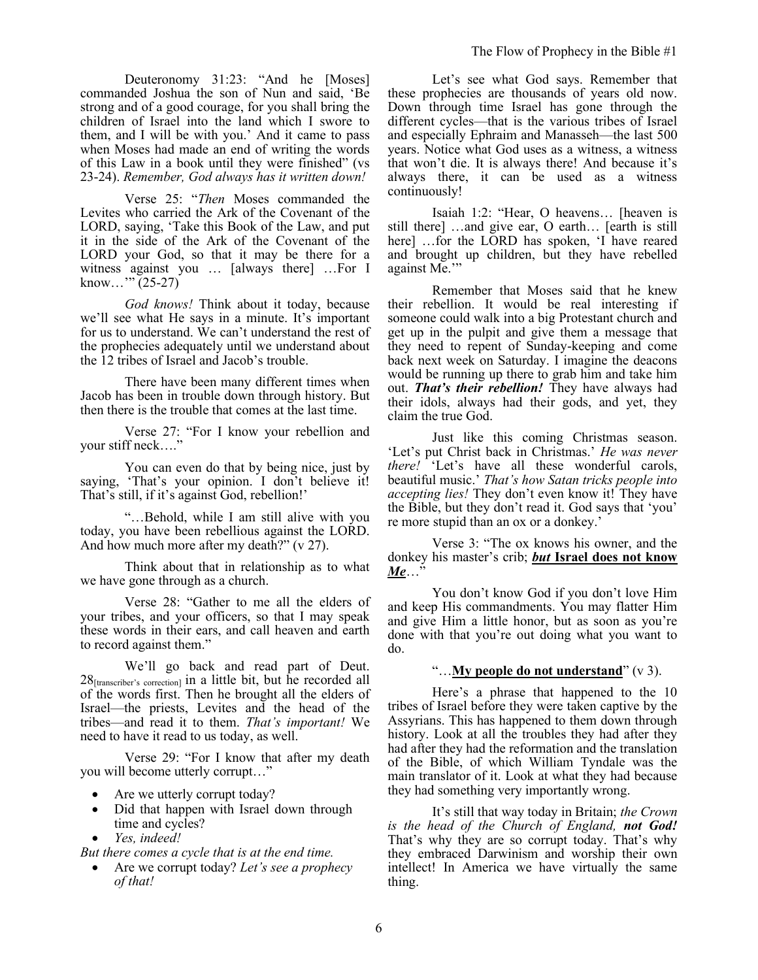Deuteronomy 31:23: "And he [Moses] commanded Joshua the son of Nun and said, 'Be strong and of a good courage, for you shall bring the children of Israel into the land which I swore to them, and I will be with you.' And it came to pass when Moses had made an end of writing the words of this Law in a book until they were finished" (vs 23-24). *Remember, God always has it written down!* 

Verse 25: "*Then* Moses commanded the Levites who carried the Ark of the Covenant of the LORD, saying, 'Take this Book of the Law, and put it in the side of the Ark of the Covenant of the LORD your God, so that it may be there for a witness against you … [always there] …For I know..."  $(25-27)$ 

*God knows!* Think about it today, because we'll see what He says in a minute. It's important for us to understand. We can't understand the rest of the prophecies adequately until we understand about the 12 tribes of Israel and Jacob's trouble.

There have been many different times when Jacob has been in trouble down through history. But then there is the trouble that comes at the last time.

Verse 27: "For I know your rebellion and your stiff neck…."

You can even do that by being nice, just by saying, 'That's your opinion. I don't believe it! That's still, if it's against God, rebellion!'

"…Behold, while I am still alive with you today, you have been rebellious against the LORD. And how much more after my death?" (v 27).

Think about that in relationship as to what we have gone through as a church.

Verse 28: "Gather to me all the elders of your tribes, and your officers, so that I may speak these words in their ears, and call heaven and earth to record against them."

We'll go back and read part of Deut.  $28$ <sub>[transcriber's correction]</sub> in a little bit, but he recorded all of the words first. Then he brought all the elders of Israel—the priests, Levites and the head of the tribes—and read it to them. *That's important!* We need to have it read to us today, as well.

Verse 29: "For I know that after my death you will become utterly corrupt…"

- Are we utterly corrupt today?
- Did that happen with Israel down through time and cycles?
- *Yes, indeed!*

*But there comes a cycle that is at the end time.* 

• Are we corrupt today? *Let's see a prophecy of that!*

Let's see what God says. Remember that these prophecies are thousands of years old now. Down through time Israel has gone through the different cycles—that is the various tribes of Israel and especially Ephraim and Manasseh—the last 500 years. Notice what God uses as a witness, a witness that won't die. It is always there! And because it's always there, it can be used as a witness continuously!

Isaiah 1:2: "Hear, O heavens… [heaven is still there] …and give ear, O earth… [earth is still here] ...for the LORD has spoken, 'I have reared and brought up children, but they have rebelled against Me.'"

Remember that Moses said that he knew their rebellion. It would be real interesting if someone could walk into a big Protestant church and get up in the pulpit and give them a message that they need to repent of Sunday-keeping and come back next week on Saturday. I imagine the deacons would be running up there to grab him and take him out. *That's their rebellion!* They have always had their idols, always had their gods, and yet, they claim the true God.

Just like this coming Christmas season. 'Let's put Christ back in Christmas.' *He was never there!* 'Let's have all these wonderful carols, beautiful music.' *That's how Satan tricks people into accepting lies!* They don't even know it! They have the Bible, but they don't read it. God says that 'you' re more stupid than an ox or a donkey.'

Verse 3: "The ox knows his owner, and the donkey his master's crib; *but* **Israel does not know**  *Me*…"

You don't know God if you don't love Him and keep His commandments. You may flatter Him and give Him a little honor, but as soon as you're done with that you're out doing what you want to do.

### "…**My people do not understand**" (v 3).

Here's a phrase that happened to the 10 tribes of Israel before they were taken captive by the Assyrians. This has happened to them down through history. Look at all the troubles they had after they had after they had the reformation and the translation of the Bible, of which William Tyndale was the main translator of it. Look at what they had because they had something very importantly wrong.

It's still that way today in Britain; *the Crown is the head of the Church of England, not God!* That's why they are so corrupt today. That's why they embraced Darwinism and worship their own intellect! In America we have virtually the same thing.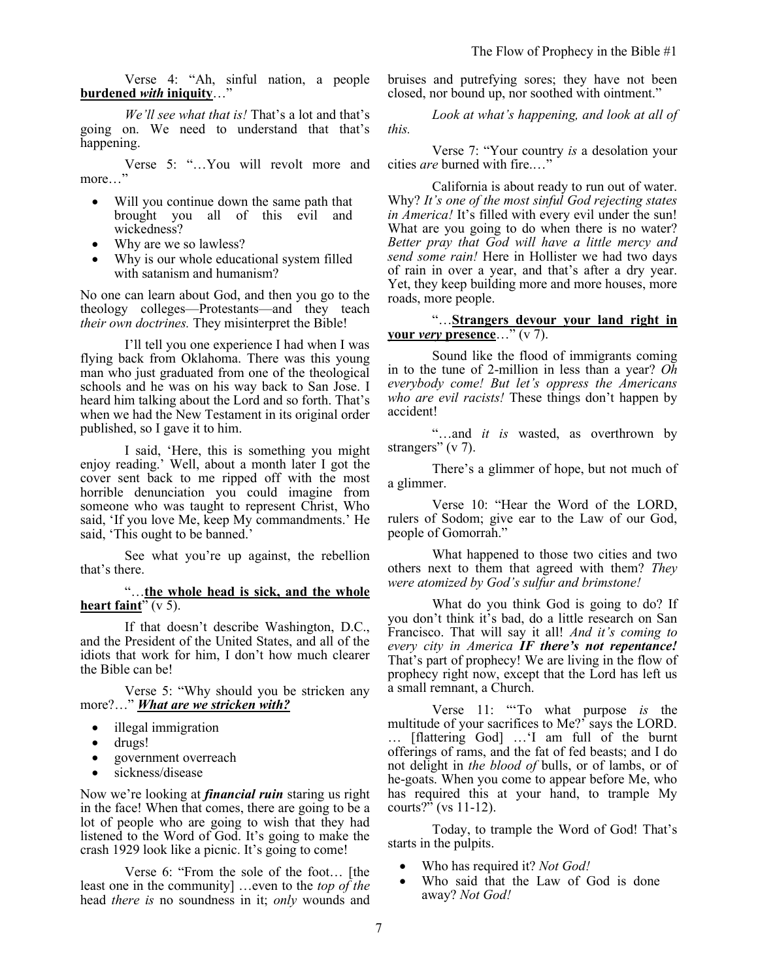Verse 4: "Ah, sinful nation, a people **burdened** *with* **iniquity**…"

*We'll see what that is!* That's a lot and that's going on. We need to understand that that's happening.

Verse 5: "…You will revolt more and more…"

- Will you continue down the same path that brought you all of this evil and wickedness?
- Why are we so lawless?
- Why is our whole educational system filled with satanism and humanism?

No one can learn about God, and then you go to the theology colleges—Protestants—and they teach *their own doctrines.* They misinterpret the Bible!

I'll tell you one experience I had when I was flying back from Oklahoma. There was this young man who just graduated from one of the theological schools and he was on his way back to San Jose. I heard him talking about the Lord and so forth. That's when we had the New Testament in its original order published, so I gave it to him.

I said, 'Here, this is something you might enjoy reading.' Well, about a month later I got the cover sent back to me ripped off with the most horrible denunciation you could imagine from someone who was taught to represent Christ, Who said, 'If you love Me, keep My commandments.' He said, 'This ought to be banned.'

See what you're up against, the rebellion that's there.

"…**the whole head is sick, and the whole heart faint**"  $(v 5)$ .

If that doesn't describe Washington, D.C., and the President of the United States, and all of the idiots that work for him, I don't how much clearer the Bible can be!

Verse 5: "Why should you be stricken any more?…" *What are we stricken with?* 

- illegal immigration
- drugs!
- government overreach
- sickness/disease

Now we're looking at *financial ruin* staring us right in the face! When that comes, there are going to be a lot of people who are going to wish that they had listened to the Word of God. It's going to make the crash 1929 look like a picnic. It's going to come!

Verse 6: "From the sole of the foot… [the least one in the community] …even to the *top of the* head *there is* no soundness in it; *only* wounds and bruises and putrefying sores; they have not been closed, nor bound up, nor soothed with ointment."

*Look at what's happening, and look at all of this.* 

Verse 7: "Your country *is* a desolation your cities *are* burned with fire.…"

California is about ready to run out of water. Why? *It's one of the most sinful God rejecting states in America!* It's filled with every evil under the sun! What are you going to do when there is no water? *Better pray that God will have a little mercy and send some rain!* Here in Hollister we had two days of rain in over a year, and that's after a dry year. Yet, they keep building more and more houses, more roads, more people.

## "…**Strangers devour your land right in your** *very* **presence**…" (v 7).

Sound like the flood of immigrants coming in to the tune of 2-million in less than a year? *Oh everybody come! But let's oppress the Americans who are evil racists!* These things don't happen by accident!

"…and *it is* wasted, as overthrown by strangers" (v 7).

There's a glimmer of hope, but not much of a glimmer.

Verse 10: "Hear the Word of the LORD, rulers of Sodom; give ear to the Law of our God, people of Gomorrah."

What happened to those two cities and two others next to them that agreed with them? *They were atomized by God's sulfur and brimstone!*

What do you think God is going to do? If you don't think it's bad, do a little research on San Francisco. That will say it all! *And it's coming to every city in America IF there's not repentance!* That's part of prophecy! We are living in the flow of prophecy right now, except that the Lord has left us a small remnant, a Church.

Verse 11: "'To what purpose *is* the multitude of your sacrifices to Me?' says the LORD. … [flattering God] …'I am full of the burnt offerings of rams, and the fat of fed beasts; and I do not delight in *the blood of* bulls, or of lambs, or of he-goats. When you come to appear before Me, who has required this at your hand, to trample My courts?" (vs 11-12).

Today, to trample the Word of God! That's starts in the pulpits.

- Who has required it? *Not God!*
- Who said that the Law of God is done away? *Not God!*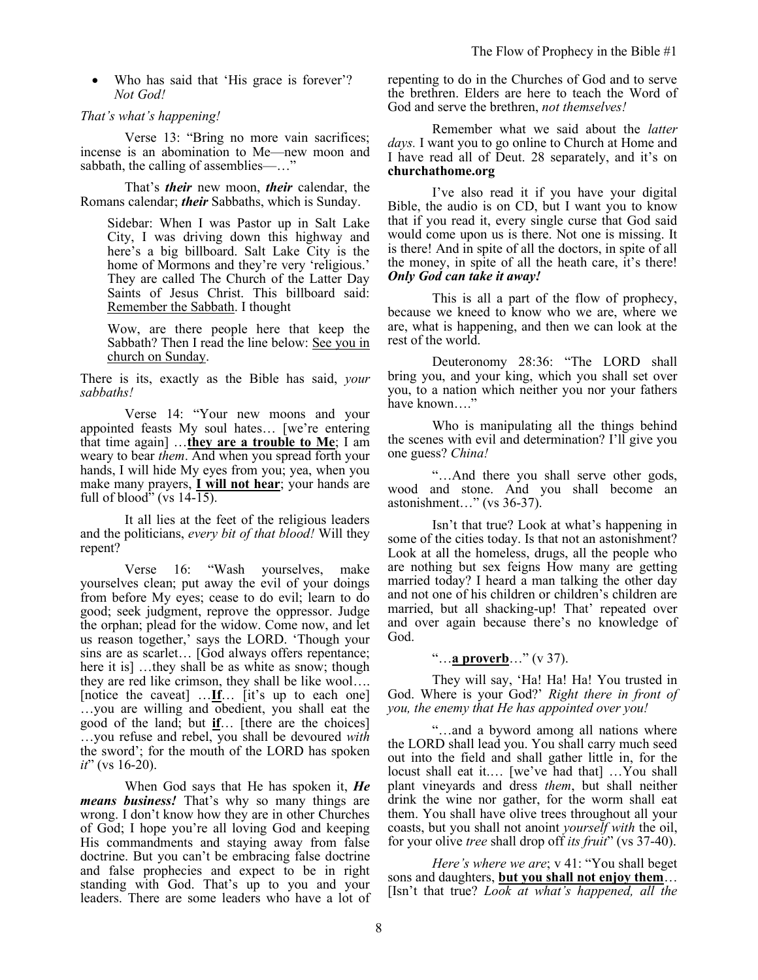• Who has said that 'His grace is forever'? *Not God!*

#### *That's what's happening!*

Verse 13: "Bring no more vain sacrifices; incense is an abomination to Me—new moon and sabbath, the calling of assemblies—…"

That's *their* new moon, *their* calendar, the Romans calendar; *their* Sabbaths, which is Sunday.

Sidebar: When I was Pastor up in Salt Lake City, I was driving down this highway and here's a big billboard. Salt Lake City is the home of Mormons and they're very 'religious.' They are called The Church of the Latter Day Saints of Jesus Christ. This billboard said: Remember the Sabbath. I thought

Wow, are there people here that keep the Sabbath? Then I read the line below: See you in church on Sunday.

There is its, exactly as the Bible has said, *your sabbaths!*

Verse 14: "Your new moons and your appointed feasts My soul hates… [we're entering that time again] …**they are a trouble to Me**; I am weary to bear *them*. And when you spread forth your hands, I will hide My eyes from you; yea, when you make many prayers, **I will not hear**; your hands are full of blood" (vs  $14-\overline{15}$ ).

It all lies at the feet of the religious leaders and the politicians, *every bit of that blood!* Will they repent?

Verse 16: "Wash yourselves, make yourselves clean; put away the evil of your doings from before My eyes; cease to do evil; learn to do good; seek judgment, reprove the oppressor. Judge the orphan; plead for the widow. Come now, and let us reason together,' says the LORD. 'Though your sins are as scarlet… [God always offers repentance; here it is] …they shall be as white as snow; though they are red like crimson, they shall be like wool…. [notice the caveat] …**If**… [it's up to each one] …you are willing and obedient, you shall eat the good of the land; but **if**… [there are the choices] …you refuse and rebel, you shall be devoured *with* the sword'; for the mouth of the LORD has spoken *it*" (vs 16-20).

When God says that He has spoken it, *He means business!* That's why so many things are wrong. I don't know how they are in other Churches of God; I hope you're all loving God and keeping His commandments and staying away from false doctrine. But you can't be embracing false doctrine and false prophecies and expect to be in right standing with God. That's up to you and your leaders. There are some leaders who have a lot of repenting to do in the Churches of God and to serve the brethren. Elders are here to teach the Word of God and serve the brethren, *not themselves!*

Remember what we said about the *latter days.* I want you to go online to Church at Home and I have read all of Deut. 28 separately, and it's on **churchathome.org**

I've also read it if you have your digital Bible, the audio is on CD, but I want you to know that if you read it, every single curse that God said would come upon us is there. Not one is missing. It is there! And in spite of all the doctors, in spite of all the money, in spite of all the heath care, it's there! *Only God can take it away!*

This is all a part of the flow of prophecy, because we kneed to know who we are, where we are, what is happening, and then we can look at the rest of the world.

Deuteronomy 28:36: "The LORD shall bring you, and your king, which you shall set over you, to a nation which neither you nor your fathers have known…."

Who is manipulating all the things behind the scenes with evil and determination? I'll give you one guess? *China!*

"…And there you shall serve other gods, wood and stone. And you shall become an astonishment…" (vs 36-37).

Isn't that true? Look at what's happening in some of the cities today. Is that not an astonishment? Look at all the homeless, drugs, all the people who are nothing but sex feigns How many are getting married today? I heard a man talking the other day and not one of his children or children's children are married, but all shacking-up! That' repeated over and over again because there's no knowledge of God.

### "…**a proverb**…" (v 37).

They will say, 'Ha! Ha! Ha! You trusted in God. Where is your God?' *Right there in front of you, the enemy that He has appointed over you!* 

"…and a byword among all nations where the LORD shall lead you. You shall carry much seed out into the field and shall gather little in, for the locust shall eat it.… [we've had that] …You shall plant vineyards and dress *them*, but shall neither drink the wine nor gather, for the worm shall eat them. You shall have olive trees throughout all your coasts, but you shall not anoint *yourself with* the oil, for your olive *tree* shall drop off *its fruit*" (vs 37-40).

*Here's where we are*; v 41: "You shall beget sons and daughters, **but you shall not enjoy them**… [Isn't that true? *Look at what's happened, all the*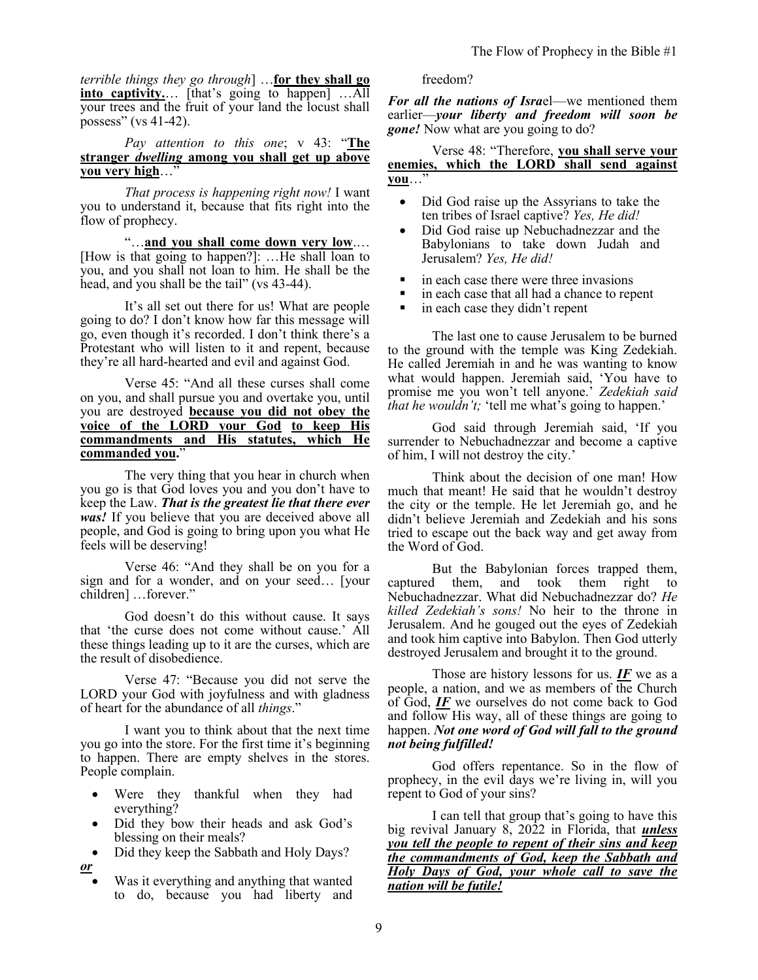*terrible things they go through*] …**for they shall go into captivity.**… [that's going to happen] …All your trees and the fruit of your land the locust shall possess" (vs 41-42).

*Pay attention to this one*; v 43: "**The stranger** *dwelling* **among you shall get up above you very high**…"

*That process is happening right now!* I want you to understand it, because that fits right into the flow of prophecy.

"…**and you shall come down very low**.… [How is that going to happen?]: …He shall loan to you, and you shall not loan to him. He shall be the head, and you shall be the tail" (vs 43-44).

It's all set out there for us! What are people going to do? I don't know how far this message will go, even though it's recorded. I don't think there's a Protestant who will listen to it and repent, because they're all hard-hearted and evil and against God.

Verse 45: "And all these curses shall come on you, and shall pursue you and overtake you, until you are destroyed **because you did not obey the voice of the LORD your God to keep His commandments and His statutes, which He commanded you.**"

The very thing that you hear in church when you go is that God loves you and you don't have to keep the Law. *That is the greatest lie that there ever was!* If you believe that you are deceived above all people, and God is going to bring upon you what He feels will be deserving!

Verse 46: "And they shall be on you for a sign and for a wonder, and on your seed… [your children] …forever."

God doesn't do this without cause. It says that 'the curse does not come without cause.' All these things leading up to it are the curses, which are the result of disobedience.

Verse 47: "Because you did not serve the LORD your God with joyfulness and with gladness of heart for the abundance of all *things*."

I want you to think about that the next time you go into the store. For the first time it's beginning to happen. There are empty shelves in the stores. People complain.

- Were they thankful when they had everything?
- Did they bow their heads and ask God's blessing on their meals?
- Did they keep the Sabbath and Holy Days? *or*
	- Was it everything and anything that wanted to do, because you had liberty and

## freedom?

*For all the nations of Isra*el—we mentioned them earlier—*your liberty and freedom will soon be gone!* Now what are you going to do?

### Verse 48: "Therefore, **you shall serve your enemies, which the LORD shall send against you**…"

- Did God raise up the Assyrians to take the ten tribes of Israel captive? *Yes, He did!*
- Did God raise up Nebuchadnezzar and the Babylonians to take down Judah and Jerusalem? *Yes, He did!*
- in each case there were three invasions
- in each case that all had a chance to repent
- in each case they didn't repent

The last one to cause Jerusalem to be burned to the ground with the temple was King Zedekiah. He called Jeremiah in and he was wanting to know what would happen. Jeremiah said, 'You have to promise me you won't tell anyone.' *Zedekiah said that he wouldn't;* 'tell me what's going to happen.'

God said through Jeremiah said, 'If you surrender to Nebuchadnezzar and become a captive of him, I will not destroy the city.'

Think about the decision of one man! How much that meant! He said that he wouldn't destroy the city or the temple. He let Jeremiah go, and he didn't believe Jeremiah and Zedekiah and his sons tried to escape out the back way and get away from the Word of God.

But the Babylonian forces trapped them, captured them, and took them right to Nebuchadnezzar. What did Nebuchadnezzar do? *He killed Zedekiah's sons!* No heir to the throne in Jerusalem. And he gouged out the eyes of Zedekiah and took him captive into Babylon. Then God utterly destroyed Jerusalem and brought it to the ground.

Those are history lessons for us. *IF* we as a people, a nation, and we as members of the Church of God, *IF* we ourselves do not come back to God and follow His way, all of these things are going to happen. *Not one word of God will fall to the ground not being fulfilled!*

God offers repentance. So in the flow of prophecy, in the evil days we're living in, will you repent to God of your sins?

I can tell that group that's going to have this big revival January 8, 2022 in Florida, that *unless you tell the people to repent of their sins and keep the commandments of God, keep the Sabbath and Holy Days of God, your whole call to save the nation will be futile!*